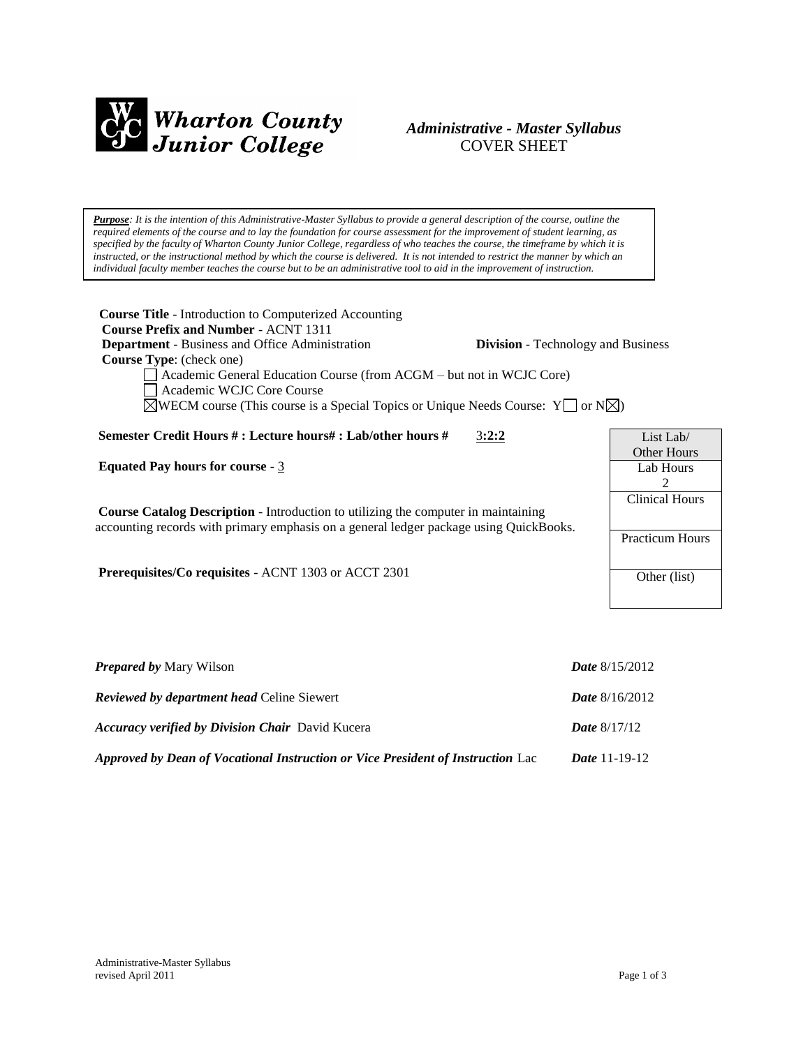

# *Administrative - Master Syllabus*  COVER SHEET

*Purpose: It is the intention of this Administrative-Master Syllabus to provide a general description of the course, outline the required elements of the course and to lay the foundation for course assessment for the improvement of student learning, as specified by the faculty of Wharton County Junior College, regardless of who teaches the course, the timeframe by which it is instructed, or the instructional method by which the course is delivered. It is not intended to restrict the manner by which an individual faculty member teaches the course but to be an administrative tool to aid in the improvement of instruction.*

**Course Title** - Introduction to Computerized Accounting  **Course Prefix and Number** - ACNT 1311 **Department** - Business and Office Administration **Division** - Technology and Business  **Course Type**: (check one) Academic General Education Course (from ACGM – but not in WCJC Core) Academic WCJC Core Course  $\boxtimes$ WECM course (This course is a Special Topics or Unique Needs Course: Y  $\Box$  or N $\boxtimes$ ) **Semester Credit Hours # : Lecture hours# : Lab/other hours #** 3**:2:2 Equated Pay hours for course** - 3 **Course Catalog Description** - Introduction to utilizing the computer in maintaining accounting records with primary emphasis on a general ledger package using QuickBooks. **Prerequisites/Co requisites** - ACNT 1303 or ACCT 2301 List Lab/ Other Hours Lab Hours 2 Clinical Hours Practicum Hours Other (list)

| <b>Prepared by Mary Wilson</b>                                                  | <i>Date</i> $8/15/2012$ |
|---------------------------------------------------------------------------------|-------------------------|
| <b>Reviewed by department head Celine Siewert</b>                               | <i>Date</i> $8/16/2012$ |
| <b>Accuracy verified by Division Chair</b> David Kucera                         | <b>Date</b> $8/17/12$   |
| Approved by Dean of Vocational Instruction or Vice President of Instruction Lac | <i>Date</i> 11-19-12    |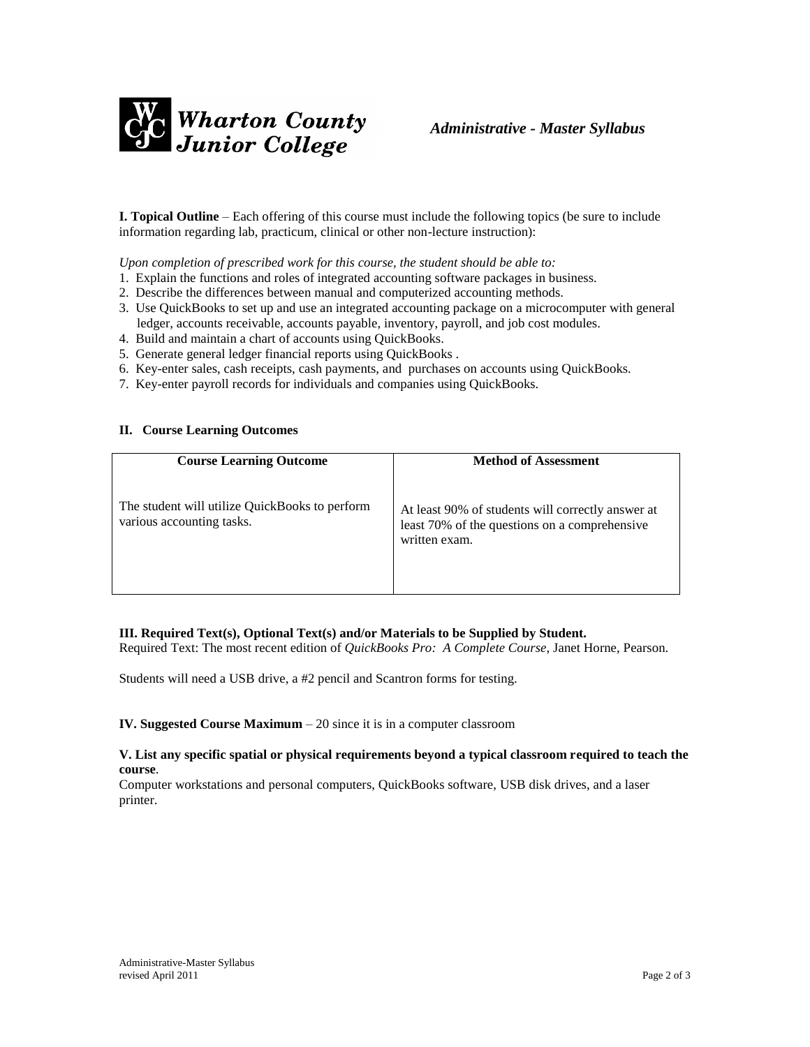

**I. Topical Outline** – Each offering of this course must include the following topics (be sure to include information regarding lab, practicum, clinical or other non-lecture instruction):

*Upon completion of prescribed work for this course, the student should be able to:*

- 1. Explain the functions and roles of integrated accounting software packages in business.
- 2. Describe the differences between manual and computerized accounting methods.
- 3. Use QuickBooks to set up and use an integrated accounting package on a microcomputer with general ledger, accounts receivable, accounts payable, inventory, payroll, and job cost modules.
- 4. Build and maintain a chart of accounts using QuickBooks.
- 5. Generate general ledger financial reports using QuickBooks .
- 6. Key-enter sales, cash receipts, cash payments, and purchases on accounts using QuickBooks.
- 7. Key-enter payroll records for individuals and companies using QuickBooks.

#### **II. Course Learning Outcomes**

| <b>Course Learning Outcome</b>                                              | <b>Method of Assessment</b>                                                                                         |
|-----------------------------------------------------------------------------|---------------------------------------------------------------------------------------------------------------------|
| The student will utilize QuickBooks to perform<br>various accounting tasks. | At least 90% of students will correctly answer at<br>least 70% of the questions on a comprehensive<br>written exam. |

# **III. Required Text(s), Optional Text(s) and/or Materials to be Supplied by Student.**

Required Text: The most recent edition of *QuickBooks Pro: A Complete Course*, Janet Horne, Pearson.

Students will need a USB drive, a #2 pencil and Scantron forms for testing.

#### **IV. Suggested Course Maximum** – 20 since it is in a computer classroom

#### **V. List any specific spatial or physical requirements beyond a typical classroom required to teach the course**.

Computer workstations and personal computers, QuickBooks software, USB disk drives, and a laser printer.